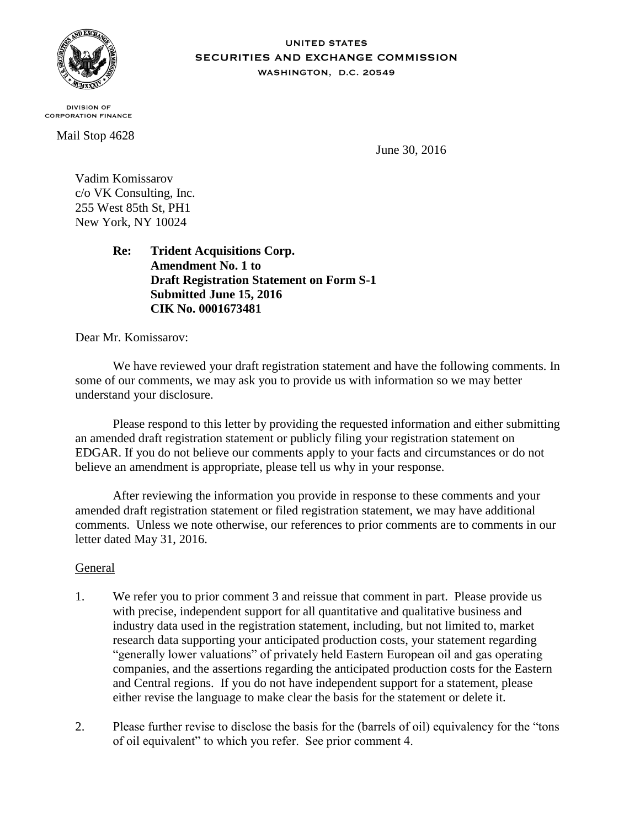

#### **UNITED STATES** SECURITIES AND EXCHANGE COMMISSION WASHINGTON, D.C. 20549

**DIVISION OF CORPORATION FINANCE** 

Mail Stop 4628

June 30, 2016

Vadim Komissarov c/o VK Consulting, Inc. 255 West 85th St, PH1 New York, NY 10024

> **Re: Trident Acquisitions Corp. Amendment No. 1 to Draft Registration Statement on Form S-1 Submitted June 15, 2016 CIK No. 0001673481**

Dear Mr. Komissarov:

We have reviewed your draft registration statement and have the following comments. In some of our comments, we may ask you to provide us with information so we may better understand your disclosure.

Please respond to this letter by providing the requested information and either submitting an amended draft registration statement or publicly filing your registration statement on EDGAR. If you do not believe our comments apply to your facts and circumstances or do not believe an amendment is appropriate, please tell us why in your response.

After reviewing the information you provide in response to these comments and your amended draft registration statement or filed registration statement, we may have additional comments. Unless we note otherwise, our references to prior comments are to comments in our letter dated May 31, 2016.

# General

- 1. We refer you to prior comment 3 and reissue that comment in part. Please provide us with precise, independent support for all quantitative and qualitative business and industry data used in the registration statement, including, but not limited to, market research data supporting your anticipated production costs, your statement regarding "generally lower valuations" of privately held Eastern European oil and gas operating companies, and the assertions regarding the anticipated production costs for the Eastern and Central regions. If you do not have independent support for a statement, please either revise the language to make clear the basis for the statement or delete it.
- 2. Please further revise to disclose the basis for the (barrels of oil) equivalency for the "tons of oil equivalent" to which you refer. See prior comment 4.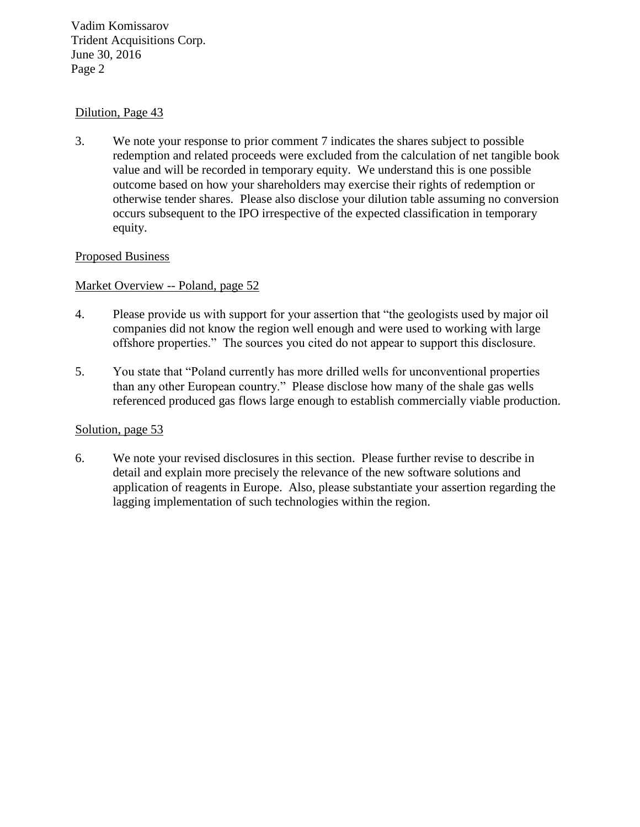Vadim Komissarov Trident Acquisitions Corp. June 30, 2016 Page 2

### Dilution, Page 43

3. We note your response to prior comment 7 indicates the shares subject to possible redemption and related proceeds were excluded from the calculation of net tangible book value and will be recorded in temporary equity. We understand this is one possible outcome based on how your shareholders may exercise their rights of redemption or otherwise tender shares. Please also disclose your dilution table assuming no conversion occurs subsequent to the IPO irrespective of the expected classification in temporary equity.

## Proposed Business

## Market Overview -- Poland, page 52

- 4. Please provide us with support for your assertion that "the geologists used by major oil companies did not know the region well enough and were used to working with large offshore properties." The sources you cited do not appear to support this disclosure.
- 5. You state that "Poland currently has more drilled wells for unconventional properties than any other European country." Please disclose how many of the shale gas wells referenced produced gas flows large enough to establish commercially viable production.

#### Solution, page 53

6. We note your revised disclosures in this section. Please further revise to describe in detail and explain more precisely the relevance of the new software solutions and application of reagents in Europe. Also, please substantiate your assertion regarding the lagging implementation of such technologies within the region.